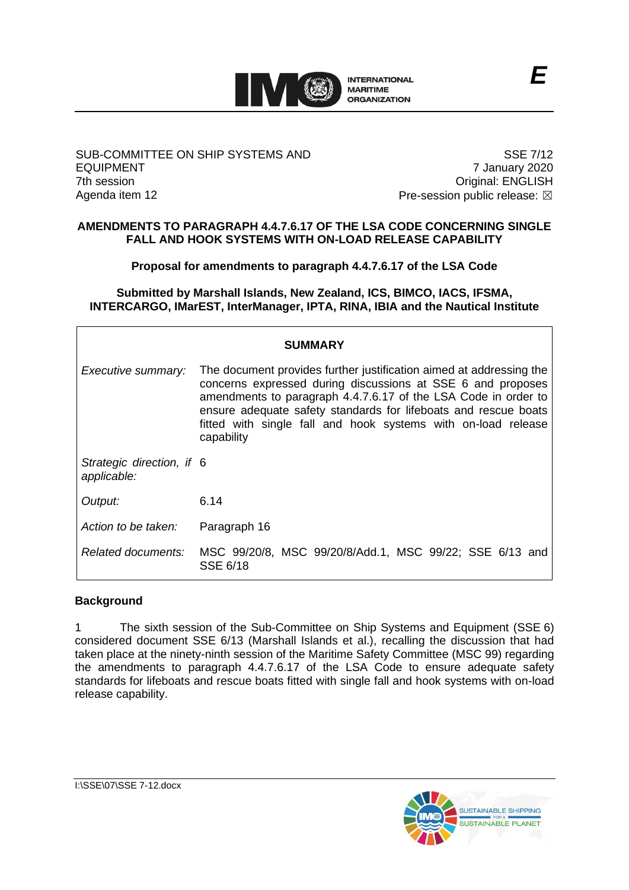

#### SUB-COMMITTEE ON SHIP SYSTEMS AND EQUIPMENT 7th session Agenda item 12

SSE 7/12 7 January 2020 Original: ENGLISH Pre-session public release:  $\boxtimes$ 

#### **AMENDMENTS TO PARAGRAPH 4.4.7.6.17 OF THE LSA CODE CONCERNING SINGLE FALL AND HOOK SYSTEMS WITH ON-LOAD RELEASE CAPABILITY**

**Proposal for amendments to paragraph 4.4.7.6.17 of the LSA Code**

**Submitted by Marshall Islands, New Zealand, ICS, BIMCO, IACS, IFSMA, INTERCARGO, IMarEST, InterManager, IPTA, RINA, IBIA and the Nautical Institute**

| <b>SUMMARY</b>                           |                                                                                                                                                                                                                                                                                                                                                        |
|------------------------------------------|--------------------------------------------------------------------------------------------------------------------------------------------------------------------------------------------------------------------------------------------------------------------------------------------------------------------------------------------------------|
| Executive summary:                       | The document provides further justification aimed at addressing the<br>concerns expressed during discussions at SSE 6 and proposes<br>amendments to paragraph 4.4.7.6.17 of the LSA Code in order to<br>ensure adequate safety standards for lifeboats and rescue boats<br>fitted with single fall and hook systems with on-load release<br>capability |
| Strategic direction, if 6<br>applicable: |                                                                                                                                                                                                                                                                                                                                                        |
| Output:                                  | 6.14                                                                                                                                                                                                                                                                                                                                                   |
| Action to be taken:                      | Paragraph 16                                                                                                                                                                                                                                                                                                                                           |
| Related documents:                       | MSC 99/20/8, MSC 99/20/8/Add.1, MSC 99/22; SSE 6/13 and<br>SSE 6/18                                                                                                                                                                                                                                                                                    |

# **Background**

1 The sixth session of the Sub-Committee on Ship Systems and Equipment (SSE 6) considered document SSE 6/13 (Marshall Islands et al.), recalling the discussion that had taken place at the ninety-ninth session of the Maritime Safety Committee (MSC 99) regarding the amendments to paragraph 4.4.7.6.17 of the LSA Code to ensure adequate safety standards for lifeboats and rescue boats fitted with single fall and hook systems with on-load release capability.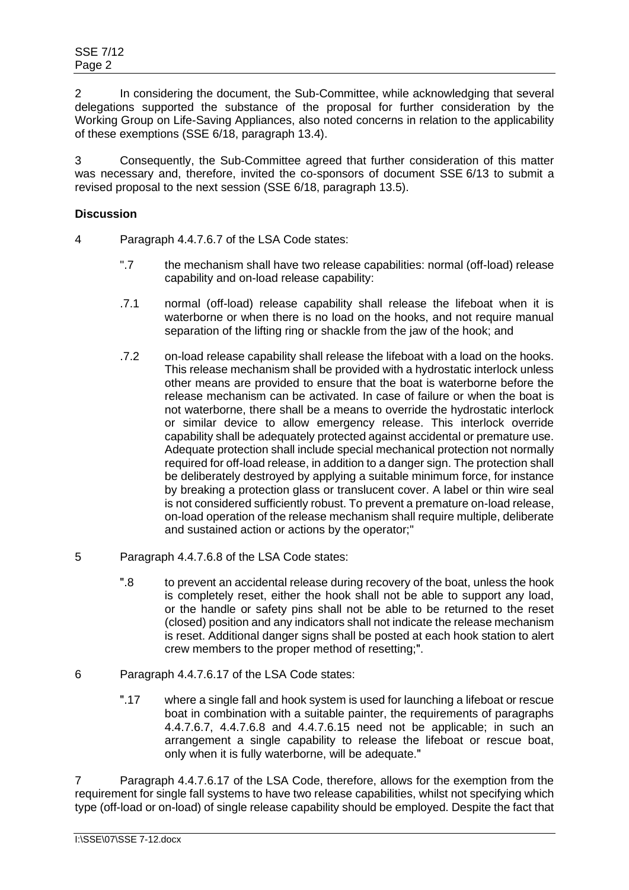2 In considering the document, the Sub-Committee, while acknowledging that several delegations supported the substance of the proposal for further consideration by the Working Group on Life-Saving Appliances, also noted concerns in relation to the applicability of these exemptions (SSE 6/18, paragraph 13.4).

3 Consequently, the Sub-Committee agreed that further consideration of this matter was necessary and, therefore, invited the co-sponsors of document SSE 6/13 to submit a revised proposal to the next session (SSE 6/18, paragraph 13.5).

### **Discussion**

- 4 Paragraph 4.4.7.6.7 of the LSA Code states:
	- ".7 the mechanism shall have two release capabilities: normal (off-load) release capability and on-load release capability:
	- .7.1 normal (off-load) release capability shall release the lifeboat when it is waterborne or when there is no load on the hooks, and not require manual separation of the lifting ring or shackle from the jaw of the hook; and
	- .7.2 on-load release capability shall release the lifeboat with a load on the hooks. This release mechanism shall be provided with a hydrostatic interlock unless other means are provided to ensure that the boat is waterborne before the release mechanism can be activated. In case of failure or when the boat is not waterborne, there shall be a means to override the hydrostatic interlock or similar device to allow emergency release. This interlock override capability shall be adequately protected against accidental or premature use. Adequate protection shall include special mechanical protection not normally required for off-load release, in addition to a danger sign. The protection shall be deliberately destroyed by applying a suitable minimum force, for instance by breaking a protection glass or translucent cover. A label or thin wire seal is not considered sufficiently robust. To prevent a premature on-load release, on-load operation of the release mechanism shall require multiple, deliberate and sustained action or actions by the operator;"
- 5 Paragraph 4.4.7.6.8 of the LSA Code states:
	- ʺ.8 to prevent an accidental release during recovery of the boat, unless the hook is completely reset, either the hook shall not be able to support any load, or the handle or safety pins shall not be able to be returned to the reset (closed) position and any indicators shall not indicate the release mechanism is reset. Additional danger signs shall be posted at each hook station to alert crew members to the proper method of resetting.".
- 6 Paragraph 4.4.7.6.17 of the LSA Code states:
	- ʺ.17 where a single fall and hook system is used for launching a lifeboat or rescue boat in combination with a suitable painter, the requirements of paragraphs 4.4.7.6.7, 4.4.7.6.8 and 4.4.7.6.15 need not be applicable; in such an arrangement a single capability to release the lifeboat or rescue boat, only when it is fully waterborne, will be adequate."

7 Paragraph 4.4.7.6.17 of the LSA Code, therefore, allows for the exemption from the requirement for single fall systems to have two release capabilities, whilst not specifying which type (off-load or on-load) of single release capability should be employed. Despite the fact that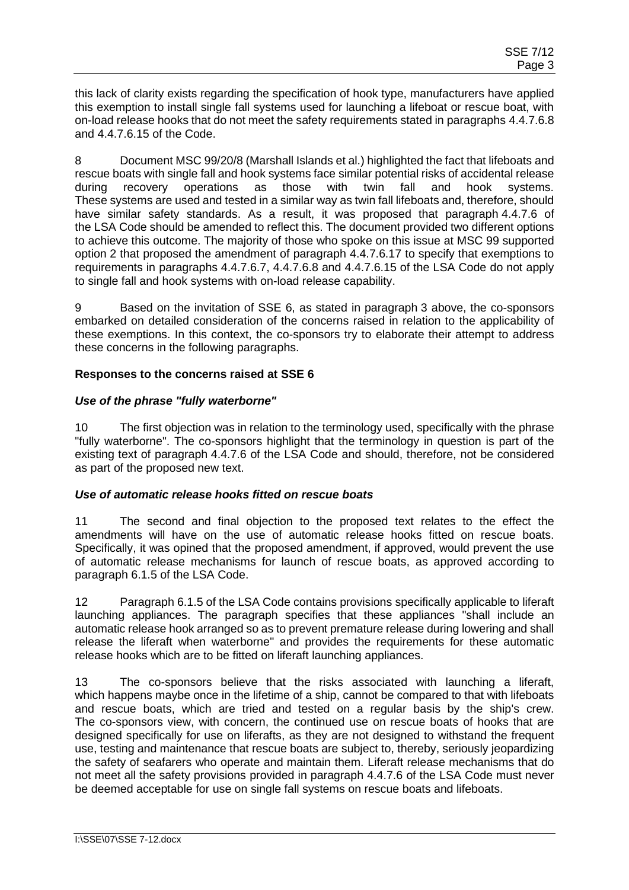this lack of clarity exists regarding the specification of hook type, manufacturers have applied this exemption to install single fall systems used for launching a lifeboat or rescue boat, with on-load release hooks that do not meet the safety requirements stated in paragraphs 4.4.7.6.8 and 4.4.7.6.15 of the Code.

8 Document MSC 99/20/8 (Marshall Islands et al.) highlighted the fact that lifeboats and rescue boats with single fall and hook systems face similar potential risks of accidental release during recovery operations as those with twin fall and hook systems. These systems are used and tested in a similar way as twin fall lifeboats and, therefore, should have similar safety standards. As a result, it was proposed that paragraph 4.4.7.6 of the LSA Code should be amended to reflect this. The document provided two different options to achieve this outcome. The majority of those who spoke on this issue at MSC 99 supported option 2 that proposed the amendment of paragraph 4.4.7.6.17 to specify that exemptions to requirements in paragraphs 4.4.7.6.7, 4.4.7.6.8 and 4.4.7.6.15 of the LSA Code do not apply to single fall and hook systems with on-load release capability.

9 Based on the invitation of SSE 6, as stated in paragraph 3 above, the co-sponsors embarked on detailed consideration of the concerns raised in relation to the applicability of these exemptions. In this context, the co-sponsors try to elaborate their attempt to address these concerns in the following paragraphs.

## **Responses to the concerns raised at SSE 6**

## *Use of the phrase "fully waterborne"*

10 The first objection was in relation to the terminology used, specifically with the phrase "fully waterborne". The co-sponsors highlight that the terminology in question is part of the existing text of paragraph 4.4.7.6 of the LSA Code and should, therefore, not be considered as part of the proposed new text.

### *Use of automatic release hooks fitted on rescue boats*

11 The second and final objection to the proposed text relates to the effect the amendments will have on the use of automatic release hooks fitted on rescue boats. Specifically, it was opined that the proposed amendment, if approved, would prevent the use of automatic release mechanisms for launch of rescue boats, as approved according to paragraph 6.1.5 of the LSA Code.

12 Paragraph 6.1.5 of the LSA Code contains provisions specifically applicable to liferaft launching appliances. The paragraph specifies that these appliances "shall include an automatic release hook arranged so as to prevent premature release during lowering and shall release the liferaft when waterborne" and provides the requirements for these automatic release hooks which are to be fitted on liferaft launching appliances.

13 The co-sponsors believe that the risks associated with launching a liferaft, which happens maybe once in the lifetime of a ship, cannot be compared to that with lifeboats and rescue boats, which are tried and tested on a regular basis by the ship's crew. The co-sponsors view, with concern, the continued use on rescue boats of hooks that are designed specifically for use on liferafts, as they are not designed to withstand the frequent use, testing and maintenance that rescue boats are subject to, thereby, seriously jeopardizing the safety of seafarers who operate and maintain them. Liferaft release mechanisms that do not meet all the safety provisions provided in paragraph 4.4.7.6 of the LSA Code must never be deemed acceptable for use on single fall systems on rescue boats and lifeboats.